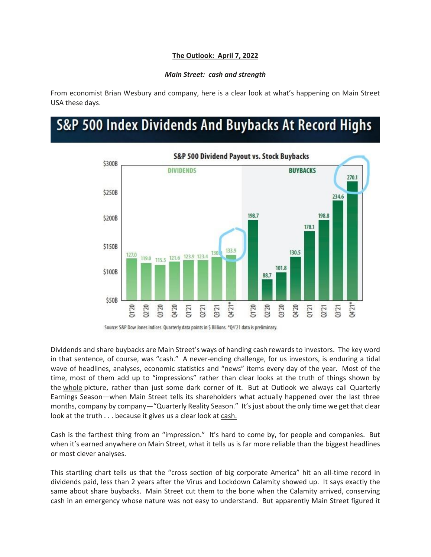## **The Outlook: April 7, 2022**

## *Main Street: cash and strength*

From economist Brian Wesbury and company, here is a clear look at what's happening on Main Street USA these days.

## S&P 500 Index Dividends And Buybacks At Record Highs



Source: S&P Dow Jones Indices. Quarterly data points in \$ Billions. \*Q4'21 data is preliminary.

Dividends and share buybacks are Main Street's ways of handing cash rewards to investors. The key word in that sentence, of course, was "cash." A never-ending challenge, for us investors, is enduring a tidal wave of headlines, analyses, economic statistics and "news" items every day of the year. Most of the time, most of them add up to "impressions" rather than clear looks at the truth of things shown by the whole picture, rather than just some dark corner of it. But at Outlook we always call Quarterly Earnings Season—when Main Street tells its shareholders what actually happened over the last three months, company by company—"Quarterly Reality Season." It's just about the only time we get that clear look at the truth . . . because it gives us a clear look at cash.

Cash is the farthest thing from an "impression." It's hard to come by, for people and companies. But when it's earned anywhere on Main Street, what it tells us is far more reliable than the biggest headlines or most clever analyses.

This startling chart tells us that the "cross section of big corporate America" hit an all-time record in dividends paid, less than 2 years after the Virus and Lockdown Calamity showed up. It says exactly the same about share buybacks. Main Street cut them to the bone when the Calamity arrived, conserving cash in an emergency whose nature was not easy to understand. But apparently Main Street figured it